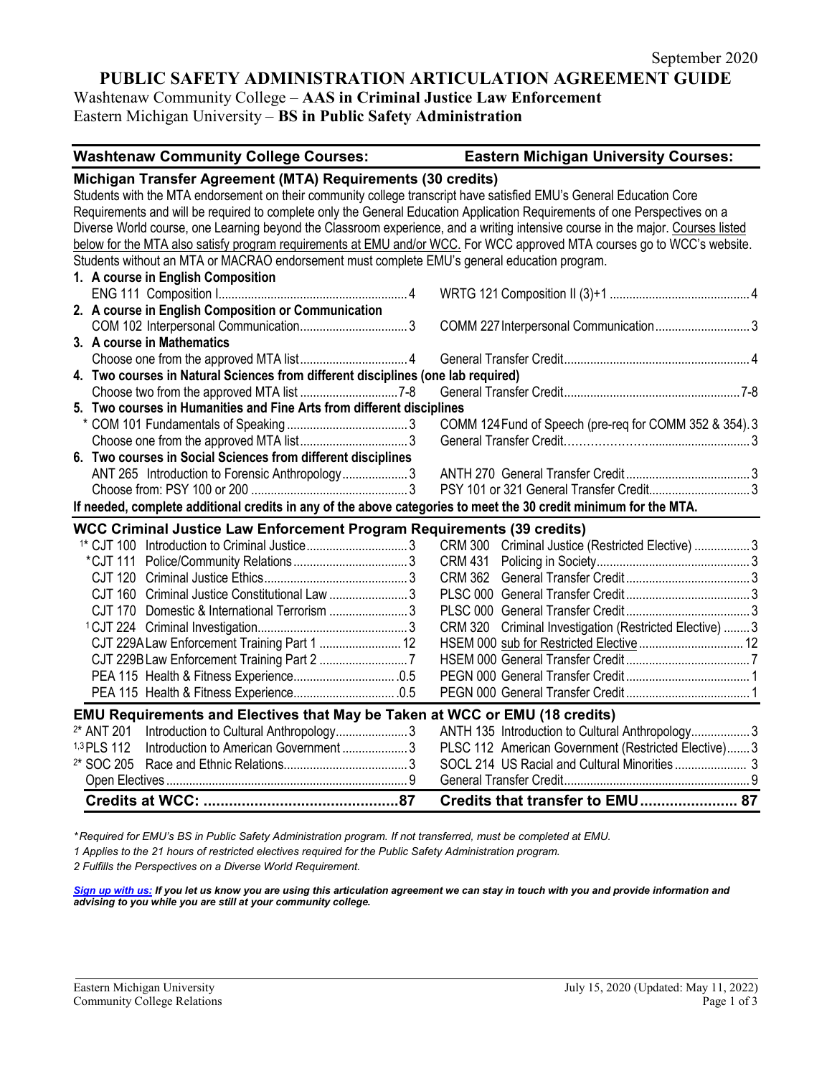# **PUBLIC SAFETY ADMINISTRATION ARTICULATION AGREEMENT GUIDE**

Washtenaw Community College – **AAS in Criminal Justice Law Enforcement** Eastern Michigan University – **BS in Public Safety Administration**

| <b>Washtenaw Community College Courses:</b><br><b>Eastern Michigan University Courses:</b>                                      |  |  |  |  |  |
|---------------------------------------------------------------------------------------------------------------------------------|--|--|--|--|--|
| Michigan Transfer Agreement (MTA) Requirements (30 credits)                                                                     |  |  |  |  |  |
| Students with the MTA endorsement on their community college transcript have satisfied EMU's General Education Core             |  |  |  |  |  |
| Requirements and will be required to complete only the General Education Application Requirements of one Perspectives on a      |  |  |  |  |  |
| Diverse World course, one Learning beyond the Classroom experience, and a writing intensive course in the major. Courses listed |  |  |  |  |  |
| below for the MTA also satisfy program requirements at EMU and/or WCC. For WCC approved MTA courses go to WCC's website.        |  |  |  |  |  |
| Students without an MTA or MACRAO endorsement must complete EMU's general education program.                                    |  |  |  |  |  |
| 1. A course in English Composition                                                                                              |  |  |  |  |  |
|                                                                                                                                 |  |  |  |  |  |
| 2. A course in English Composition or Communication                                                                             |  |  |  |  |  |
| COMM 227 Interpersonal Communication 3                                                                                          |  |  |  |  |  |
| 3. A course in Mathematics                                                                                                      |  |  |  |  |  |
|                                                                                                                                 |  |  |  |  |  |
| 4. Two courses in Natural Sciences from different disciplines (one lab required)                                                |  |  |  |  |  |
|                                                                                                                                 |  |  |  |  |  |
| 5. Two courses in Humanities and Fine Arts from different disciplines                                                           |  |  |  |  |  |
| COMM 124 Fund of Speech (pre-req for COMM 352 & 354). 3                                                                         |  |  |  |  |  |
|                                                                                                                                 |  |  |  |  |  |
| 6. Two courses in Social Sciences from different disciplines                                                                    |  |  |  |  |  |
| ANT 265 Introduction to Forensic Anthropology3                                                                                  |  |  |  |  |  |
|                                                                                                                                 |  |  |  |  |  |
| If needed, complete additional credits in any of the above categories to meet the 30 credit minimum for the MTA.                |  |  |  |  |  |
| <b>WCC Criminal Justice Law Enforcement Program Requirements (39 credits)</b>                                                   |  |  |  |  |  |
| <sup>1*</sup> CJT 100 Introduction to Criminal Justice3<br>CRM 300 Criminal Justice (Restricted Elective)  3                    |  |  |  |  |  |
|                                                                                                                                 |  |  |  |  |  |
|                                                                                                                                 |  |  |  |  |  |
| CJT 160 Criminal Justice Constitutional Law 3                                                                                   |  |  |  |  |  |
| CJT 170 Domestic & International Terrorism 3                                                                                    |  |  |  |  |  |
| CRM 320 Criminal Investigation (Restricted Elective)  3                                                                         |  |  |  |  |  |
| CJT 229A Law Enforcement Training Part 1  12                                                                                    |  |  |  |  |  |
|                                                                                                                                 |  |  |  |  |  |
|                                                                                                                                 |  |  |  |  |  |
|                                                                                                                                 |  |  |  |  |  |
| EMU Requirements and Electives that May be Taken at WCC or EMU (18 credits)                                                     |  |  |  |  |  |
| <sup>2*</sup> ANT 201<br>ANTH 135 Introduction to Cultural Anthropology3                                                        |  |  |  |  |  |
| Introduction to American Government3<br>PLSC 112 American Government (Restricted Elective) 3<br>1,3 PLS 112                     |  |  |  |  |  |
| <sup>2*</sup> SOC 205                                                                                                           |  |  |  |  |  |
|                                                                                                                                 |  |  |  |  |  |
| Credits that transfer to EMU 87                                                                                                 |  |  |  |  |  |

*\* Required for EMU's BS in Public Safety Administration program. If not transferred, must be completed at EMU.* 

*1 Applies to the 21 hours of restricted electives required for the Public Safety Administration program.*

*2 Fulfills the Perspectives on a Diverse World Requirement.*

*[Sign up with us:](https://www.emich.edu/ccr/articulation-agreements/signup.php) If you let us know you are using this articulation agreement we can stay in touch with you and provide information and advising to you while you are still at your community college.*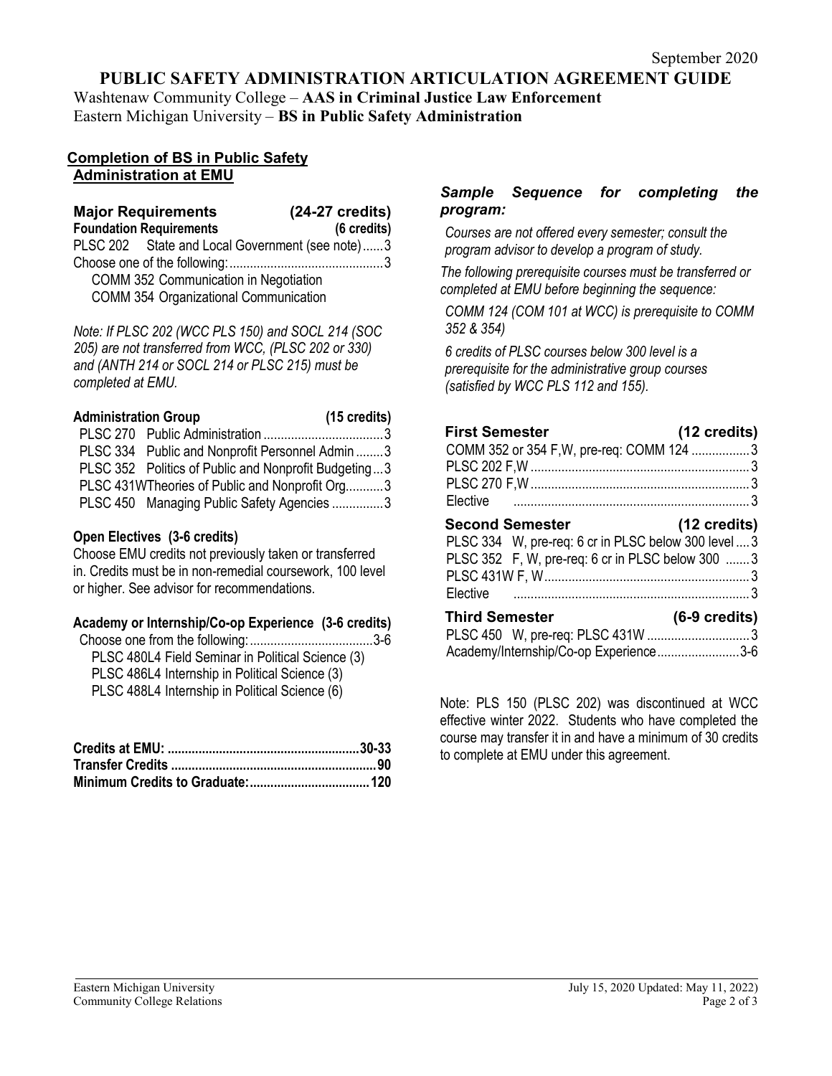## **PUBLIC SAFETY ADMINISTRATION ARTICULATION AGREEMENT GUIDE**

Washtenaw Community College – **AAS in Criminal Justice Law Enforcement** Eastern Michigan University – **BS in Public Safety Administration**

## **Completion of BS in Public Safety Administration at EMU**

## **Major Requirements (24-27 credits) Foundation Requirements (6 credits)** PLSC 202 State and Local Government (see note)......3 Choose one of the following:.............................................3 COMM 352 Communication in Negotiation COMM 354 Organizational Communication

*Note: If PLSC 202 (WCC PLS 150) and SOCL 214 (SOC 205) are not transferred from WCC, (PLSC 202 or 330) and (ANTH 214 or SOCL 214 or PLSC 215) must be completed at EMU.* 

| <b>Administration Group</b> |                                                      | $(15 \text{ credits})$ |
|-----------------------------|------------------------------------------------------|------------------------|
|                             |                                                      |                        |
|                             | PLSC 334 Public and Nonprofit Personnel Admin 3      |                        |
|                             | PLSC 352 Politics of Public and Nonprofit Budgeting3 |                        |
|                             | PLSC 431WTheories of Public and Nonprofit Org3       |                        |
|                             | PLSC 450 Managing Public Safety Agencies 3           |                        |

## **Open Electives (3-6 credits)**

Choose EMU credits not previously taken or transferred in. Credits must be in non-remedial coursework, 100 level or higher. See advisor for recommendations.

## **Academy or Internship/Co-op Experience (3-6 credits)**

| PLSC 480L4 Field Seminar in Political Science (3) |  |
|---------------------------------------------------|--|
| PLSC 486L4 Internship in Political Science (3)    |  |
| PLSC 488L4 Internship in Political Science (6)    |  |

## *Sample Sequence for completing the program:*

*Courses are not offered every semester; consult the program advisor to develop a program of study.*

*The following prerequisite courses must be transferred or completed at EMU before beginning the sequence:*

*COMM 124 (COM 101 at WCC) is prerequisite to COMM 352 & 354)*

*6 credits of PLSC courses below 300 level is a prerequisite for the administrative group courses (satisfied by WCC PLS 112 and 155).*

| <b>First Semester</b>                                | (12 credits) |
|------------------------------------------------------|--------------|
| COMM 352 or 354 F, W, pre-req: COMM 124 3            |              |
|                                                      |              |
|                                                      |              |
|                                                      |              |
| <b>Second Semester</b>                               | (12 credits) |
| PLSC 334 W, pre-req: 6 cr in PLSC below 300 level  3 |              |
| PLSC 352 F, W, pre-req: 6 cr in PLSC below 300  3    |              |
| $DI$ $C$ $A$ $31M$ $E$ $M$                           |              |

| <b>Third Semester</b> |                                        | $(6-9 \text{ credits})$ |
|-----------------------|----------------------------------------|-------------------------|
|                       | PLSC 450 W, pre-req: PLSC 431W 3       |                         |
|                       | Academy/Internship/Co-op Experience3-6 |                         |

Note: PLS 150 (PLSC 202) was discontinued at WCC effective winter 2022. Students who have completed the course may transfer it in and have a minimum of 30 credits to complete at EMU under this agreement.